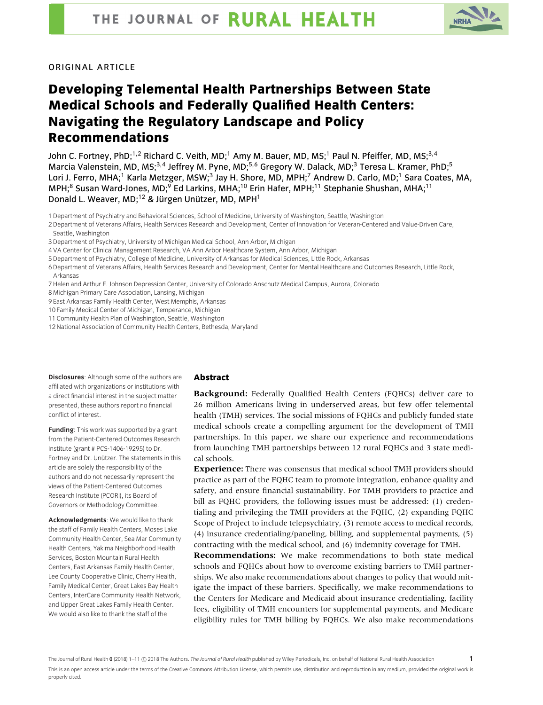

### ORIGINAL ARTICLE

# **Developing Telemental Health Partnerships Between State Medical Schools and Federally Qualified Health Centers: Navigating the Regulatory Landscape and Policy Recommendations**

John C. Fortney, PhD;<sup>1,2</sup> Richard C. Veith, MD;<sup>1</sup> Amy M. Bauer, MD, MS;<sup>1</sup> Paul N. Pfeiffer, MD, MS;<sup>3,4</sup> Marcia Valenstein, MD, MS;<sup>3,4</sup> Jeffrey M. Pyne, MD;<sup>5,6</sup> Gregory W. Dalack, MD;<sup>3</sup> Teresa L. Kramer, PhD;<sup>5</sup> Lori J. Ferro, MHA;<sup>1</sup> Karla Metzger, MSW;<sup>3</sup> Jay H. Shore, MD, MPH;<sup>7</sup> Andrew D. Carlo, MD;<sup>1</sup> Sara Coates, MA, MPH;<sup>8</sup> Susan Ward-Jones, MD;<sup>9</sup> Ed Larkins, MHA;<sup>10</sup> Erin Hafer, MPH;<sup>11</sup> Stephanie Shushan, MHA;<sup>11</sup> Donald L. Weaver, MD;<sup>12</sup> & Jürgen Unützer, MD, MPH<sup>1</sup>

1 Department of Psychiatry and Behavioral Sciences, School of Medicine, University of Washington, Seattle, Washington

2 Department of Veterans Affairs, Health Services Research and Development, Center of Innovation for Veteran-Centered and Value-Driven Care, Seattle, Washington

- 4 VA Center for Clinical Management Research, VA Ann Arbor Healthcare System, Ann Arbor, Michigan
- 5 Department of Psychiatry, College of Medicine, University of Arkansas for Medical Sciences, Little Rock, Arkansas

6 Department of Veterans Affairs, Health Services Research and Development, Center for Mental Healthcare and Outcomes Research, Little Rock, Arkansas

- 7 Helen and Arthur E. Johnson Depression Center, University of Colorado Anschutz Medical Campus, Aurora, Colorado
- 8 Michigan Primary Care Association, Lansing, Michigan
- 9 East Arkansas Family Health Center, West Memphis, Arkansas
- 10 Family Medical Center of Michigan, Temperance, Michigan
- 11 Community Health Plan of Washington, Seattle, Washington
- 12 National Association of Community Health Centers, Bethesda, Maryland

**Disclosures**: Although some of the authors are affiliated with organizations or institutions with a direct financial interest in the subject matter presented, these authors report no financial conflict of interest.

**Funding**: This work was supported by a grant from the Patient-Centered Outcomes Research Institute (grant # PCS-1406-19295) to Dr. Fortney and Dr. Unützer. The statements in this article are solely the responsibility of the authors and do not necessarily represent the views of the Patient-Centered Outcomes Research Institute (PCORI), its Board of Governors or Methodology Committee.

**Acknowledgments**: We would like to thank the staff of Family Health Centers, Moses Lake Community Health Center, Sea Mar Community Health Centers, Yakima Neighborhood Health Services, Boston Mountain Rural Health Centers, East Arkansas Family Health Center, Lee County Cooperative Clinic, Cherry Health, Family Medical Center, Great Lakes Bay Health Centers, InterCare Community Health Network, and Upper Great Lakes Family Health Center. We would also like to thank the staff of the

### **Abstract**

**Background:** Federally Qualified Health Centers (FQHCs) deliver care to 26 million Americans living in underserved areas, but few offer telemental health (TMH) services. The social missions of FQHCs and publicly funded state medical schools create a compelling argument for the development of TMH partnerships. In this paper, we share our experience and recommendations from launching TMH partnerships between 12 rural FQHCs and 3 state medical schools.

**Experience:** There was consensus that medical school TMH providers should practice as part of the FQHC team to promote integration, enhance quality and safety, and ensure financial sustainability. For TMH providers to practice and bill as FQHC providers, the following issues must be addressed: (1) credentialing and privileging the TMH providers at the FQHC, (2) expanding FQHC Scope of Project to include telepsychiatry, (3) remote access to medical records, (4) insurance credentialing/paneling, billing, and supplemental payments, (5) contracting with the medical school, and (6) indemnity coverage for TMH.

**Recommendations:** We make recommendations to both state medical schools and FQHCs about how to overcome existing barriers to TMH partnerships. We also make recommendations about changes to policy that would mitigate the impact of these barriers. Specifically, we make recommendations to the Centers for Medicare and Medicaid about insurance credentialing, facility fees, eligibility of TMH encounters for supplemental payments, and Medicare eligibility rules for TMH billing by FQHCs. We also make recommendations

<sup>3</sup> Department of Psychiatry, University of Michigan Medical School, Ann Arbor, Michigan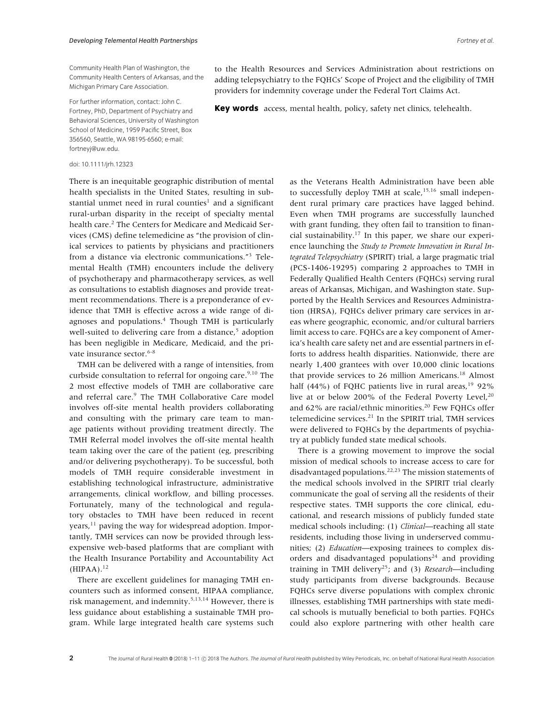Community Health Plan of Washington, the Community Health Centers of Arkansas, and the Michigan Primary Care Association.

For further information, contact: John C. Fortney, PhD, Department of Psychiatry and Behavioral Sciences, University of Washington School of Medicine, 1959 Pacific Street, Box 356560, Seattle, WA 98195-6560; e-mail: fortneyj@uw.edu.

doi: 10.1111/jrh.12323

There is an inequitable geographic distribution of mental health specialists in the United States, resulting in substantial unmet need in rural counties<sup>1</sup> and a significant rural-urban disparity in the receipt of specialty mental health care.<sup>2</sup> The Centers for Medicare and Medicaid Services (CMS) define telemedicine as "the provision of clinical services to patients by physicians and practitioners from a distance via electronic communications."3 Telemental Health (TMH) encounters include the delivery of psychotherapy and pharmacotherapy services, as well as consultations to establish diagnoses and provide treatment recommendations. There is a preponderance of evidence that TMH is effective across a wide range of diagnoses and populations.<sup>4</sup> Though TMH is particularly well-suited to delivering care from a distance,<sup>5</sup> adoption has been negligible in Medicare, Medicaid, and the private insurance sector.<sup>6-8</sup>

TMH can be delivered with a range of intensities, from curbside consultation to referral for ongoing care.<sup>9,10</sup> The 2 most effective models of TMH are collaborative care and referral care.<sup>9</sup> The TMH Collaborative Care model involves off-site mental health providers collaborating and consulting with the primary care team to manage patients without providing treatment directly. The TMH Referral model involves the off-site mental health team taking over the care of the patient (eg, prescribing and/or delivering psychotherapy). To be successful, both models of TMH require considerable investment in establishing technological infrastructure, administrative arrangements, clinical workflow, and billing processes. Fortunately, many of the technological and regulatory obstacles to TMH have been reduced in recent years, $^{11}$  paving the way for widespread adoption. Importantly, TMH services can now be provided through lessexpensive web-based platforms that are compliant with the Health Insurance Portability and Accountability Act  $(HIPAA).<sup>12</sup>$ 

There are excellent guidelines for managing TMH encounters such as informed consent, HIPAA compliance, risk management, and indemnity.5,13,14 However, there is less guidance about establishing a sustainable TMH program. While large integrated health care systems such

to the Health Resources and Services Administration about restrictions on adding telepsychiatry to the FQHCs' Scope of Project and the eligibility of TMH providers for indemnity coverage under the Federal Tort Claims Act.

**Key words** access, mental health, policy, safety net clinics, telehealth.

as the Veterans Health Administration have been able to successfully deploy TMH at scale, $15,16$  small independent rural primary care practices have lagged behind. Even when TMH programs are successfully launched with grant funding, they often fail to transition to financial sustainability.<sup>17</sup> In this paper, we share our experience launching the *Study to Promote Innovation in Rural Integrated Telepsychiatry* (SPIRIT) trial, a large pragmatic trial (PCS-1406-19295) comparing 2 approaches to TMH in Federally Qualified Health Centers (FQHCs) serving rural areas of Arkansas, Michigan, and Washington state. Supported by the Health Services and Resources Administration (HRSA), FQHCs deliver primary care services in areas where geographic, economic, and/or cultural barriers limit access to care. FQHCs are a key component of America's health care safety net and are essential partners in efforts to address health disparities. Nationwide, there are nearly 1,400 grantees with over 10,000 clinic locations that provide services to 26 million Americans.<sup>18</sup> Almost half (44%) of FQHC patients live in rural areas,  $19$  92% live at or below 200% of the Federal Poverty Level, $20$ and 62% are racial/ethnic minorities.<sup>20</sup> Few FQHCs offer telemedicine services.21 In the SPIRIT trial, TMH services were delivered to FQHCs by the departments of psychiatry at publicly funded state medical schools.

There is a growing movement to improve the social mission of medical schools to increase access to care for disadvantaged populations.<sup>22,23</sup> The mission statements of the medical schools involved in the SPIRIT trial clearly communicate the goal of serving all the residents of their respective states. TMH supports the core clinical, educational, and research missions of publicly funded state medical schools including: (1) *Clinical*—reaching all state residents, including those living in underserved communities; (2) *Education*—exposing trainees to complex disorders and disadvantaged populations<sup>24</sup> and providing training in TMH delivery<sup>25</sup>; and (3) *Research*—including study participants from diverse backgrounds. Because FQHCs serve diverse populations with complex chronic illnesses, establishing TMH partnerships with state medical schools is mutually beneficial to both parties. FQHCs could also explore partnering with other health care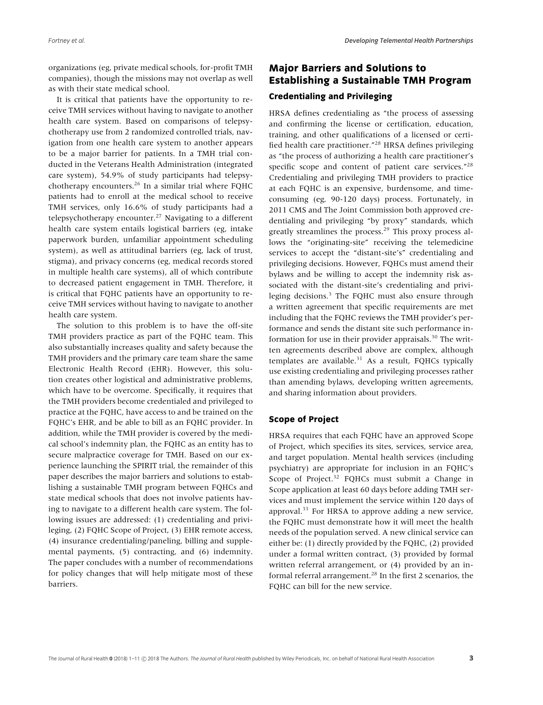organizations (eg, private medical schools, for-profit TMH companies), though the missions may not overlap as well as with their state medical school.

It is critical that patients have the opportunity to receive TMH services without having to navigate to another health care system. Based on comparisons of telepsychotherapy use from 2 randomized controlled trials, navigation from one health care system to another appears to be a major barrier for patients. In a TMH trial conducted in the Veterans Health Administration (integrated care system), 54.9% of study participants had telepsychotherapy encounters.26 In a similar trial where FQHC patients had to enroll at the medical school to receive TMH services, only 16.6% of study participants had a telepsychotherapy encounter.<sup>27</sup> Navigating to a different health care system entails logistical barriers (eg, intake paperwork burden, unfamiliar appointment scheduling system), as well as attitudinal barriers (eg, lack of trust, stigma), and privacy concerns (eg, medical records stored in multiple health care systems), all of which contribute to decreased patient engagement in TMH. Therefore, it is critical that FQHC patients have an opportunity to receive TMH services without having to navigate to another health care system.

The solution to this problem is to have the off-site TMH providers practice as part of the FQHC team. This also substantially increases quality and safety because the TMH providers and the primary care team share the same Electronic Health Record (EHR). However, this solution creates other logistical and administrative problems, which have to be overcome. Specifically, it requires that the TMH providers become credentialed and privileged to practice at the FQHC, have access to and be trained on the FQHC's EHR, and be able to bill as an FQHC provider. In addition, while the TMH provider is covered by the medical school's indemnity plan, the FQHC as an entity has to secure malpractice coverage for TMH. Based on our experience launching the SPIRIT trial, the remainder of this paper describes the major barriers and solutions to establishing a sustainable TMH program between FQHCs and state medical schools that does not involve patients having to navigate to a different health care system. The following issues are addressed: (1) credentialing and privileging, (2) FQHC Scope of Project, (3) EHR remote access, (4) insurance credentialing/paneling, billing and supplemental payments, (5) contracting, and (6) indemnity. The paper concludes with a number of recommendations for policy changes that will help mitigate most of these barriers.

# **Major Barriers and Solutions to Establishing a Sustainable TMH Program**

# **Credentialing and Privileging**

HRSA defines credentialing as "the process of assessing and confirming the license or certification, education, training, and other qualifications of a licensed or certified health care practitioner."28 HRSA defines privileging as "the process of authorizing a health care practitioner's specific scope and content of patient care services."<sup>28</sup> Credentialing and privileging TMH providers to practice at each FQHC is an expensive, burdensome, and timeconsuming (eg, 90-120 days) process. Fortunately, in 2011 CMS and The Joint Commission both approved credentialing and privileging "by proxy" standards, which greatly streamlines the process.29 This proxy process allows the "originating-site" receiving the telemedicine services to accept the "distant-site's" credentialing and privileging decisions. However, FQHCs must amend their bylaws and be willing to accept the indemnity risk associated with the distant-site's credentialing and privileging decisions.3 The FQHC must also ensure through a written agreement that specific requirements are met including that the FQHC reviews the TMH provider's performance and sends the distant site such performance information for use in their provider appraisals.<sup>30</sup> The written agreements described above are complex, although templates are available. $31$  As a result, FQHCs typically use existing credentialing and privileging processes rather than amending bylaws, developing written agreements, and sharing information about providers.

# **Scope of Project**

HRSA requires that each FQHC have an approved Scope of Project, which specifies its sites, services, service area, and target population. Mental health services (including psychiatry) are appropriate for inclusion in an FQHC's Scope of Project.<sup>32</sup> FQHCs must submit a Change in Scope application at least 60 days before adding TMH services and must implement the service within 120 days of approval.33 For HRSA to approve adding a new service, the FQHC must demonstrate how it will meet the health needs of the population served. A new clinical service can either be: (1) directly provided by the FQHC, (2) provided under a formal written contract, (3) provided by formal written referral arrangement, or (4) provided by an informal referral arrangement.<sup>28</sup> In the first 2 scenarios, the FQHC can bill for the new service.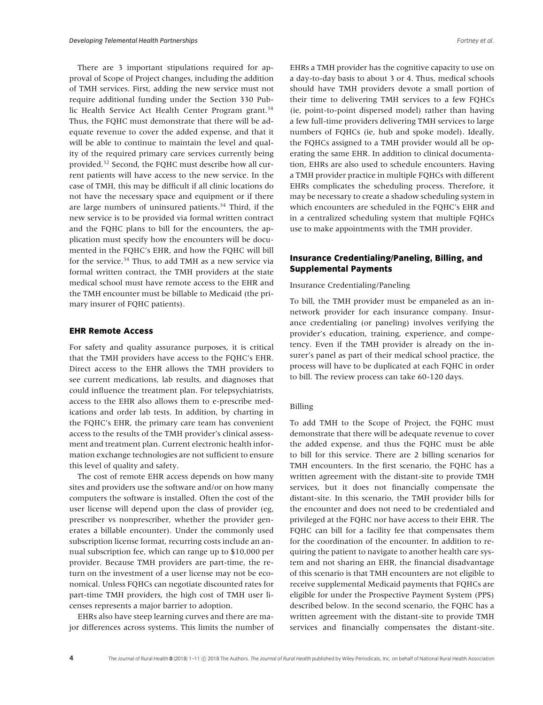There are 3 important stipulations required for approval of Scope of Project changes, including the addition of TMH services. First, adding the new service must not require additional funding under the Section 330 Public Health Service Act Health Center Program grant.<sup>34</sup> Thus, the FQHC must demonstrate that there will be adequate revenue to cover the added expense, and that it will be able to continue to maintain the level and quality of the required primary care services currently being provided.32 Second, the FQHC must describe how all current patients will have access to the new service. In the case of TMH, this may be difficult if all clinic locations do not have the necessary space and equipment or if there are large numbers of uninsured patients.<sup>34</sup> Third, if the new service is to be provided via formal written contract and the FQHC plans to bill for the encounters, the application must specify how the encounters will be documented in the FQHC's EHR, and how the FQHC will bill for the service.<sup>34</sup> Thus, to add TMH as a new service via formal written contract, the TMH providers at the state medical school must have remote access to the EHR and the TMH encounter must be billable to Medicaid (the primary insurer of FQHC patients).

### **EHR Remote Access**

For safety and quality assurance purposes, it is critical that the TMH providers have access to the FQHC's EHR. Direct access to the EHR allows the TMH providers to see current medications, lab results, and diagnoses that could influence the treatment plan. For telepsychiatrists, access to the EHR also allows them to e-prescribe medications and order lab tests. In addition, by charting in the FQHC's EHR, the primary care team has convenient access to the results of the TMH provider's clinical assessment and treatment plan. Current electronic health information exchange technologies are not sufficient to ensure this level of quality and safety.

The cost of remote EHR access depends on how many sites and providers use the software and/or on how many computers the software is installed. Often the cost of the user license will depend upon the class of provider (eg, prescriber vs nonprescriber, whether the provider generates a billable encounter). Under the commonly used subscription license format, recurring costs include an annual subscription fee, which can range up to \$10,000 per provider. Because TMH providers are part-time, the return on the investment of a user license may not be economical. Unless FQHCs can negotiate discounted rates for part-time TMH providers, the high cost of TMH user licenses represents a major barrier to adoption.

EHRs also have steep learning curves and there are major differences across systems. This limits the number of EHRs a TMH provider has the cognitive capacity to use on a day-to-day basis to about 3 or 4. Thus, medical schools should have TMH providers devote a small portion of their time to delivering TMH services to a few FQHCs (ie, point-to-point dispersed model) rather than having a few full-time providers delivering TMH services to large numbers of FQHCs (ie, hub and spoke model). Ideally, the FQHCs assigned to a TMH provider would all be operating the same EHR. In addition to clinical documentation, EHRs are also used to schedule encounters. Having a TMH provider practice in multiple FQHCs with different EHRs complicates the scheduling process. Therefore, it may be necessary to create a shadow scheduling system in which encounters are scheduled in the FQHC's EHR and in a centralized scheduling system that multiple FQHCs use to make appointments with the TMH provider.

# **Insurance Credentialing/Paneling, Billing, and Supplemental Payments**

Insurance Credentialing/Paneling

To bill, the TMH provider must be empaneled as an innetwork provider for each insurance company. Insurance credentialing (or paneling) involves verifying the provider's education, training, experience, and competency. Even if the TMH provider is already on the insurer's panel as part of their medical school practice, the process will have to be duplicated at each FQHC in order to bill. The review process can take 60-120 days.

### Billing

To add TMH to the Scope of Project, the FQHC must demonstrate that there will be adequate revenue to cover the added expense, and thus the FQHC must be able to bill for this service. There are 2 billing scenarios for TMH encounters. In the first scenario, the FQHC has a written agreement with the distant-site to provide TMH services, but it does not financially compensate the distant-site. In this scenario, the TMH provider bills for the encounter and does not need to be credentialed and privileged at the FQHC nor have access to their EHR. The FQHC can bill for a facility fee that compensates them for the coordination of the encounter. In addition to requiring the patient to navigate to another health care system and not sharing an EHR, the financial disadvantage of this scenario is that TMH encounters are not eligible to receive supplemental Medicaid payments that FQHCs are eligible for under the Prospective Payment System (PPS) described below. In the second scenario, the FQHC has a written agreement with the distant-site to provide TMH services and financially compensates the distant-site.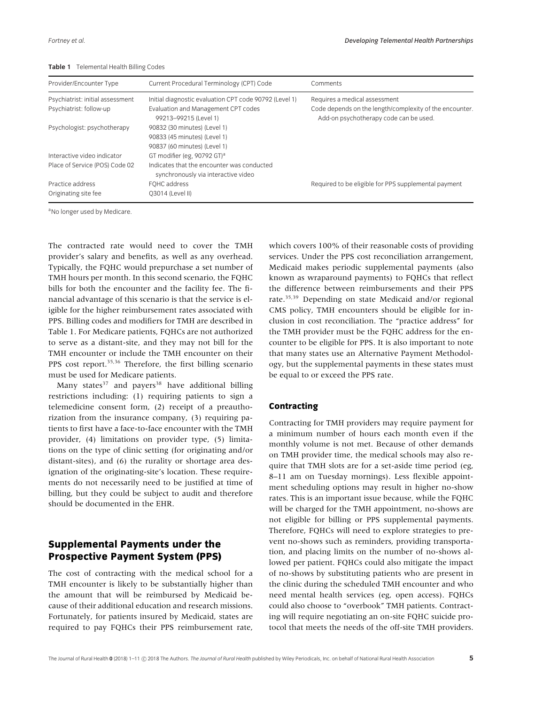| Provider/Encounter Type          | Current Procedural Terminology (CPT) Code                                         | Comments                                                                                          |
|----------------------------------|-----------------------------------------------------------------------------------|---------------------------------------------------------------------------------------------------|
| Psychiatrist: initial assessment | Initial diagnostic evaluation CPT code 90792 (Level 1)                            | Requires a medical assessment                                                                     |
| Psychiatrist: follow-up          | Evaluation and Management CPT codes<br>99213-99215 (Level 1)                      | Code depends on the length/complexity of the encounter.<br>Add-on psychotherapy code can be used. |
| Psychologist: psychotherapy      | 90832 (30 minutes) (Level 1)                                                      |                                                                                                   |
|                                  | 90833 (45 minutes) (Level 1)                                                      |                                                                                                   |
|                                  | 90837 (60 minutes) (Level 1)                                                      |                                                                                                   |
| Interactive video indicator      | GT modifier (eg, 90792 GT) <sup>a</sup>                                           |                                                                                                   |
| Place of Service (POS) Code 02   | Indicates that the encounter was conducted<br>synchronously via interactive video |                                                                                                   |
| Practice address                 | FOHC address                                                                      | Required to be eligible for PPS supplemental payment                                              |
| Originating site fee             | Q3014 (Level II)                                                                  |                                                                                                   |

#### **Table 1** Telemental Health Billing Codes

aNo longer used by Medicare.

The contracted rate would need to cover the TMH provider's salary and benefits, as well as any overhead. Typically, the FQHC would prepurchase a set number of TMH hours per month. In this second scenario, the FQHC bills for both the encounter and the facility fee. The financial advantage of this scenario is that the service is eligible for the higher reimbursement rates associated with PPS. Billing codes and modifiers for TMH are described in Table 1. For Medicare patients, FQHCs are not authorized to serve as a distant-site, and they may not bill for the TMH encounter or include the TMH encounter on their PPS cost report.<sup>35,36</sup> Therefore, the first billing scenario must be used for Medicare patients.

Many states<sup>37</sup> and payers<sup>38</sup> have additional billing restrictions including: (1) requiring patients to sign a telemedicine consent form, (2) receipt of a preauthorization from the insurance company, (3) requiring patients to first have a face-to-face encounter with the TMH provider, (4) limitations on provider type, (5) limitations on the type of clinic setting (for originating and/or distant-sites), and (6) the rurality or shortage area designation of the originating-site's location. These requirements do not necessarily need to be justified at time of billing, but they could be subject to audit and therefore should be documented in the EHR.

# **Supplemental Payments under the Prospective Payment System (PPS)**

The cost of contracting with the medical school for a TMH encounter is likely to be substantially higher than the amount that will be reimbursed by Medicaid because of their additional education and research missions. Fortunately, for patients insured by Medicaid, states are required to pay FQHCs their PPS reimbursement rate,

which covers 100% of their reasonable costs of providing services. Under the PPS cost reconciliation arrangement, Medicaid makes periodic supplemental payments (also known as wraparound payments) to FQHCs that reflect the difference between reimbursements and their PPS rate.35,39 Depending on state Medicaid and/or regional CMS policy, TMH encounters should be eligible for inclusion in cost reconciliation. The "practice address" for the TMH provider must be the FQHC address for the encounter to be eligible for PPS. It is also important to note that many states use an Alternative Payment Methodology, but the supplemental payments in these states must be equal to or exceed the PPS rate.

# **Contracting**

Contracting for TMH providers may require payment for a minimum number of hours each month even if the monthly volume is not met. Because of other demands on TMH provider time, the medical schools may also require that TMH slots are for a set-aside time period (eg, 8–11 am on Tuesday mornings). Less flexible appointment scheduling options may result in higher no-show rates. This is an important issue because, while the FQHC will be charged for the TMH appointment, no-shows are not eligible for billing or PPS supplemental payments. Therefore, FQHCs will need to explore strategies to prevent no-shows such as reminders, providing transportation, and placing limits on the number of no-shows allowed per patient. FQHCs could also mitigate the impact of no-shows by substituting patients who are present in the clinic during the scheduled TMH encounter and who need mental health services (eg, open access). FQHCs could also choose to "overbook" TMH patients. Contracting will require negotiating an on-site FQHC suicide protocol that meets the needs of the off-site TMH providers.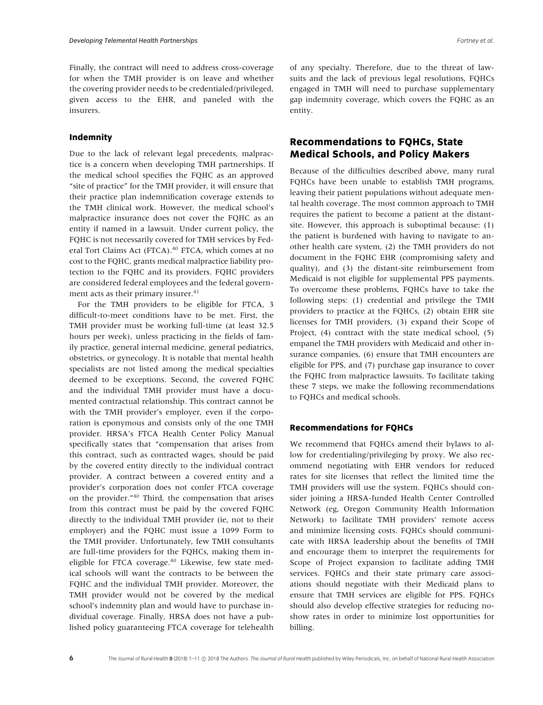Finally, the contract will need to address cross-coverage for when the TMH provider is on leave and whether the covering provider needs to be credentialed/privileged, given access to the EHR, and paneled with the insurers.

### **Indemnity**

Due to the lack of relevant legal precedents, malpractice is a concern when developing TMH partnerships. If the medical school specifies the FQHC as an approved "site of practice" for the TMH provider, it will ensure that their practice plan indemnification coverage extends to the TMH clinical work. However, the medical school's malpractice insurance does not cover the FQHC as an entity if named in a lawsuit. Under current policy, the FQHC is not necessarily covered for TMH services by Federal Tort Claims Act (FTCA).<sup>40</sup> FTCA, which comes at no cost to the FQHC, grants medical malpractice liability protection to the FQHC and its providers. FQHC providers are considered federal employees and the federal government acts as their primary insurer.<sup>41</sup>

For the TMH providers to be eligible for FTCA, 3 difficult-to-meet conditions have to be met. First, the TMH provider must be working full-time (at least 32.5 hours per week), unless practicing in the fields of family practice, general internal medicine, general pediatrics, obstetrics, or gynecology. It is notable that mental health specialists are not listed among the medical specialties deemed to be exceptions. Second, the covered FQHC and the individual TMH provider must have a documented contractual relationship. This contract cannot be with the TMH provider's employer, even if the corporation is eponymous and consists only of the one TMH provider. HRSA's FTCA Health Center Policy Manual specifically states that "compensation that arises from this contract, such as contracted wages, should be paid by the covered entity directly to the individual contract provider. A contract between a covered entity and a provider's corporation does not confer FTCA coverage on the provider."40 Third, the compensation that arises from this contract must be paid by the covered FQHC directly to the individual TMH provider (ie, not to their employer) and the FQHC must issue a 1099 Form to the TMH provider. Unfortunately, few TMH consultants are full-time providers for the FQHCs, making them ineligible for FTCA coverage.<sup>40</sup> Likewise, few state medical schools will want the contracts to be between the FQHC and the individual TMH provider. Moreover, the TMH provider would not be covered by the medical school's indemnity plan and would have to purchase individual coverage. Finally, HRSA does not have a published policy guaranteeing FTCA coverage for telehealth

of any specialty. Therefore, due to the threat of lawsuits and the lack of previous legal resolutions, FQHCs engaged in TMH will need to purchase supplementary gap indemnity coverage, which covers the FQHC as an entity.

# **Recommendations to FQHCs, State Medical Schools, and Policy Makers**

Because of the difficulties described above, many rural FQHCs have been unable to establish TMH programs, leaving their patient populations without adequate mental health coverage. The most common approach to TMH requires the patient to become a patient at the distantsite. However, this approach is suboptimal because: (1) the patient is burdened with having to navigate to another health care system, (2) the TMH providers do not document in the FQHC EHR (compromising safety and quality), and (3) the distant-site reimbursement from Medicaid is not eligible for supplemental PPS payments. To overcome these problems, FQHCs have to take the following steps: (1) credential and privilege the TMH providers to practice at the FQHCs, (2) obtain EHR site licenses for TMH providers, (3) expand their Scope of Project, (4) contract with the state medical school, (5) empanel the TMH providers with Medicaid and other insurance companies, (6) ensure that TMH encounters are eligible for PPS, and (7) purchase gap insurance to cover the FQHC from malpractice lawsuits. To facilitate taking these 7 steps, we make the following recommendations to FQHCs and medical schools.

### **Recommendations for FQHCs**

We recommend that FQHCs amend their bylaws to allow for credentialing/privileging by proxy. We also recommend negotiating with EHR vendors for reduced rates for site licenses that reflect the limited time the TMH providers will use the system. FQHCs should consider joining a HRSA-funded Health Center Controlled Network (eg, Oregon Community Health Information Network) to facilitate TMH providers' remote access and minimize licensing costs. FQHCs should communicate with HRSA leadership about the benefits of TMH and encourage them to interpret the requirements for Scope of Project expansion to facilitate adding TMH services. FQHCs and their state primary care associations should negotiate with their Medicaid plans to ensure that TMH services are eligible for PPS. FQHCs should also develop effective strategies for reducing noshow rates in order to minimize lost opportunities for billing.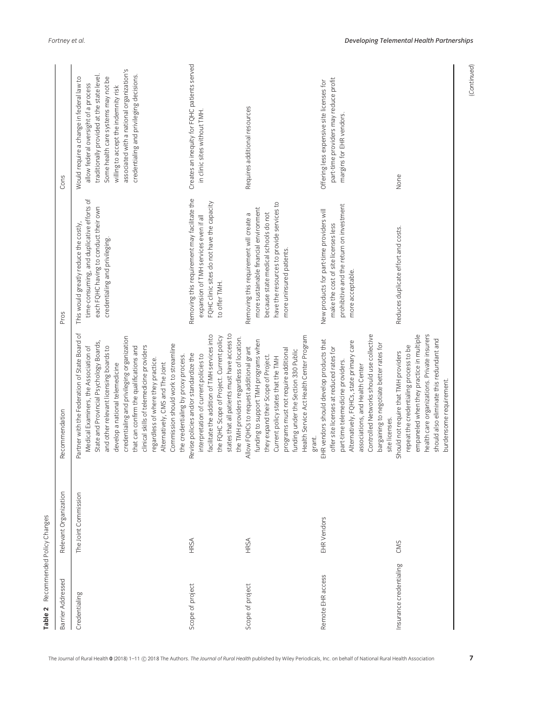| traditionally provided at the state level.<br>credentialing and privileging decisions.<br>Some health care systems may not be<br>Would require a change in federal law to<br>part-time providers may reduce profit<br>Offering less expensive site licenses for<br>allow federal oversight of a process<br>willing to accept the indemnity risk<br>Requires additional resources<br>in clinic sites without TMH.<br>margins for EHR vendors.<br>None<br>Cons<br>Removing this requirement may facilitate the<br>time-consuming, and duplicative efforts of<br>have the resources to provide services to<br>FQHC clinic sites do not have the capacity<br>prohibitive and the return on investment<br>each FQHC having to conduct their own<br>more sustainable financial environment<br>New products for part-time providers will<br>because state medical schools do not<br>Removing this requirement will create a<br>expansion of TMH services even if all<br>This would greatly reduce the costly,<br>make the cost of site licenses less<br>Reduces duplicate effort and costs.<br>credentialing and privileging.<br>more uninsured patients.<br>more acceptable.<br>to offer TMH.<br>Pros<br>Partner with the Federation of State Board of<br>states that all patients must have access to<br>Controlled Networks should use collective<br>health care organizations. Private insurers<br>empaneled when they practice in multiple<br>facilitate the addition of TMH services into<br>Health Service Act Health Center Program<br>the FQHC Scope of Project. Current policy<br>credentialing and privileging organization<br>the TMH providers regardless of location.<br>should also eliminate this redundant and<br>EHR vendors should develop products that<br>funding to support TMH programs when<br>Alternatively, FQHCs, state primary care<br>State and Provincial Psychology Boards,<br>Commission should work to streamline<br>bargaining to negotiate better rates for<br>repeat the credentialing process to be<br>Medical Examiners, the Association of<br>clinical skills of telemedicine providers<br>and other relevant licensing boards to<br>that can confirm the qualifications and<br>Allow FQHCs to request additional grant<br>offer site licenses at reduced rates for<br>programs must not require additional<br>funding under the Section 330 Public<br>Should not require that TMH providers<br>Revise policies and/or standardize the<br>interpretation of current policies to<br>the credentialing by proxy process.<br>they expand their Scope of Project.<br>Current policy states that the TMH<br>regardless of where they practice.<br>part-time telemedicine providers.<br>Alternatively, CMS and The Joint<br>develop a national telemedicine<br>associations, and Health Center<br>burdensome requirement.<br>Recommendation<br>site licenses.<br>grant.<br>Relevant Organization<br>The Joint Commission<br>EHR Vendors<br>HRSA<br>HRSA<br>CMS<br>Insurance credentialing<br>Remote EHR access<br>Barrier Addressed<br>Scope of project<br>Scope of project<br>Credentialing |  |  |                                              |
|------------------------------------------------------------------------------------------------------------------------------------------------------------------------------------------------------------------------------------------------------------------------------------------------------------------------------------------------------------------------------------------------------------------------------------------------------------------------------------------------------------------------------------------------------------------------------------------------------------------------------------------------------------------------------------------------------------------------------------------------------------------------------------------------------------------------------------------------------------------------------------------------------------------------------------------------------------------------------------------------------------------------------------------------------------------------------------------------------------------------------------------------------------------------------------------------------------------------------------------------------------------------------------------------------------------------------------------------------------------------------------------------------------------------------------------------------------------------------------------------------------------------------------------------------------------------------------------------------------------------------------------------------------------------------------------------------------------------------------------------------------------------------------------------------------------------------------------------------------------------------------------------------------------------------------------------------------------------------------------------------------------------------------------------------------------------------------------------------------------------------------------------------------------------------------------------------------------------------------------------------------------------------------------------------------------------------------------------------------------------------------------------------------------------------------------------------------------------------------------------------------------------------------------------------------------------------------------------------------------------------------------------------------------------------------------------------------------------------------------------------------------------------------------------------------------------------------------------------------------------------------------------------------------------------------------------------------------------------------------------------------------------------------------------------------------------------------------------------------------------|--|--|----------------------------------------------|
|                                                                                                                                                                                                                                                                                                                                                                                                                                                                                                                                                                                                                                                                                                                                                                                                                                                                                                                                                                                                                                                                                                                                                                                                                                                                                                                                                                                                                                                                                                                                                                                                                                                                                                                                                                                                                                                                                                                                                                                                                                                                                                                                                                                                                                                                                                                                                                                                                                                                                                                                                                                                                                                                                                                                                                                                                                                                                                                                                                                                                                                                                                                        |  |  |                                              |
|                                                                                                                                                                                                                                                                                                                                                                                                                                                                                                                                                                                                                                                                                                                                                                                                                                                                                                                                                                                                                                                                                                                                                                                                                                                                                                                                                                                                                                                                                                                                                                                                                                                                                                                                                                                                                                                                                                                                                                                                                                                                                                                                                                                                                                                                                                                                                                                                                                                                                                                                                                                                                                                                                                                                                                                                                                                                                                                                                                                                                                                                                                                        |  |  | associated with a national organization's    |
|                                                                                                                                                                                                                                                                                                                                                                                                                                                                                                                                                                                                                                                                                                                                                                                                                                                                                                                                                                                                                                                                                                                                                                                                                                                                                                                                                                                                                                                                                                                                                                                                                                                                                                                                                                                                                                                                                                                                                                                                                                                                                                                                                                                                                                                                                                                                                                                                                                                                                                                                                                                                                                                                                                                                                                                                                                                                                                                                                                                                                                                                                                                        |  |  | Creates an inequity for FQHC patients served |
|                                                                                                                                                                                                                                                                                                                                                                                                                                                                                                                                                                                                                                                                                                                                                                                                                                                                                                                                                                                                                                                                                                                                                                                                                                                                                                                                                                                                                                                                                                                                                                                                                                                                                                                                                                                                                                                                                                                                                                                                                                                                                                                                                                                                                                                                                                                                                                                                                                                                                                                                                                                                                                                                                                                                                                                                                                                                                                                                                                                                                                                                                                                        |  |  |                                              |
|                                                                                                                                                                                                                                                                                                                                                                                                                                                                                                                                                                                                                                                                                                                                                                                                                                                                                                                                                                                                                                                                                                                                                                                                                                                                                                                                                                                                                                                                                                                                                                                                                                                                                                                                                                                                                                                                                                                                                                                                                                                                                                                                                                                                                                                                                                                                                                                                                                                                                                                                                                                                                                                                                                                                                                                                                                                                                                                                                                                                                                                                                                                        |  |  |                                              |
|                                                                                                                                                                                                                                                                                                                                                                                                                                                                                                                                                                                                                                                                                                                                                                                                                                                                                                                                                                                                                                                                                                                                                                                                                                                                                                                                                                                                                                                                                                                                                                                                                                                                                                                                                                                                                                                                                                                                                                                                                                                                                                                                                                                                                                                                                                                                                                                                                                                                                                                                                                                                                                                                                                                                                                                                                                                                                                                                                                                                                                                                                                                        |  |  |                                              |

**Table 2** Recommended Policy Changes

Table 2 Recommended Policy Changes

(Continued) (*Continued*)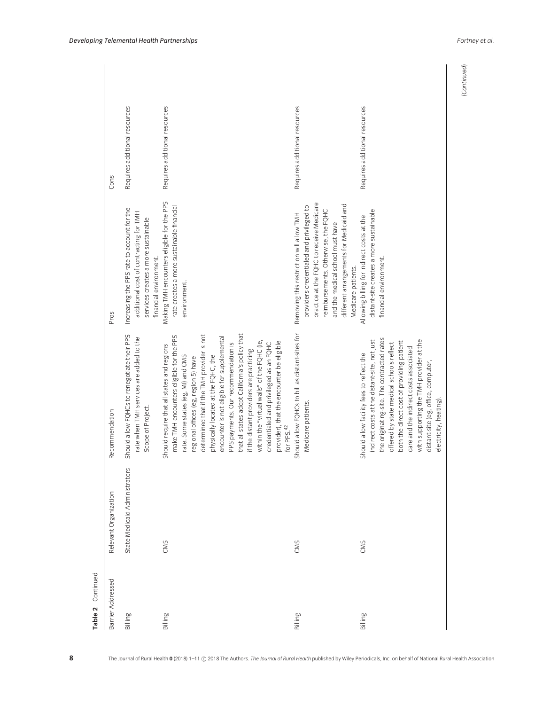| Table 2 Continued |                               |                                                                                                                                                                                                                                                                                                                                                                                                                                                                                                                                                                                                    |                                                                                                                                                                                                                                                                              |                               |
|-------------------|-------------------------------|----------------------------------------------------------------------------------------------------------------------------------------------------------------------------------------------------------------------------------------------------------------------------------------------------------------------------------------------------------------------------------------------------------------------------------------------------------------------------------------------------------------------------------------------------------------------------------------------------|------------------------------------------------------------------------------------------------------------------------------------------------------------------------------------------------------------------------------------------------------------------------------|-------------------------------|
| Barrier Addressed | Relevant Organization         | Recommendation                                                                                                                                                                                                                                                                                                                                                                                                                                                                                                                                                                                     | Pros                                                                                                                                                                                                                                                                         | Cons                          |
| Billing           | State Medicaid Administrators | Should allow FQHCs to renegotiate their PPS<br>rate when TMH services are added to the<br>Scope of Project                                                                                                                                                                                                                                                                                                                                                                                                                                                                                         | Increasing the PPS rate to account for the<br>additional cost of contracting for TMH<br>services creates a more sustainable<br>financial environment.                                                                                                                        | Requires additional resources |
| Billing           | CMS                           | determined that if the TMH provider is not<br>that all states adopt California's policy that<br>make TMH encounters eligible for the PPS<br>encounter is not eligible for supplemental<br>within the "virtual walls" of the FQHC (ie,<br>provider), that the encounter be eligible<br>PPS payments. Our recommendation is<br>credentialed and privileged as an FQHC<br>Should require that all states and regions<br>if the distant providers are practicing<br>rate. Some states (eg, MI) and CMS<br>physically located at the FQHC, the<br>regional offices (eg, region 5) have<br>for PPS. $42$ | Making TMH encounters eligible for the PPS<br>rate creates a more sustainable financial<br>environment.                                                                                                                                                                      | Requires additional resources |
| Billing           | CMS                           | Should allow FQHCs to bill as distant-sites for<br>Medicare patients.                                                                                                                                                                                                                                                                                                                                                                                                                                                                                                                              | practice at the FQHC to receive Medicare<br>different arrangements for Medicaid and<br>providers credentialed and privileged to<br>reimbursements. Otherwise, the FQHC<br>Removing this restriction will allow TMH<br>and the medical school must have<br>Medicare patients. | Requires additional resources |
| Billing           | CMS                           | the originating-site. The contracted rates<br>with supporting the TMH provider at the<br>indirect costs at the distant-site, not just<br>both the direct cost of providing patient<br>offered by state medical schools reflect<br>care and the indirect costs associated<br>Should allow facility fees to reflect the<br>distant-site (eg, office, computer,<br>electricity, heating)                                                                                                                                                                                                              | distant-site creates a more sustainable<br>Allowing billing for indirect costs at the<br>financial environment.                                                                                                                                                              | Requires additional resources |

(*Continued*)

(Continued)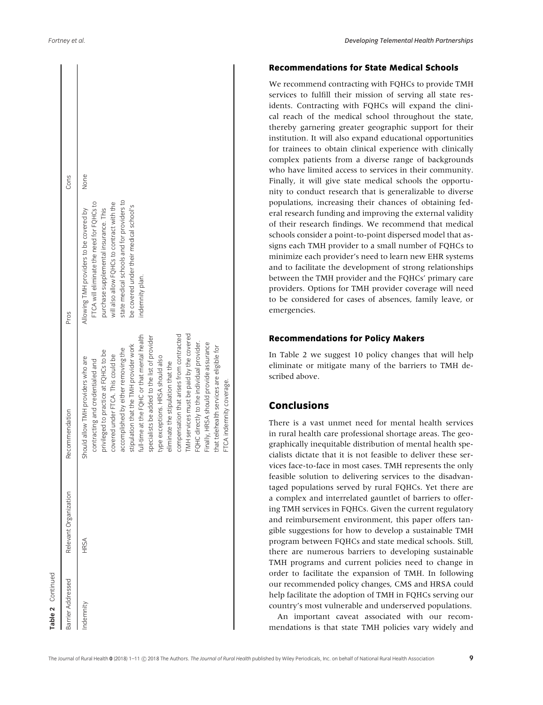## **Recommendations for State Medical Schools**

We recommend contracting with FQHCs to provide TMH services to fulfill their mission of serving all state residents. Contracting with FQHCs will expand the clinical reach of the medical school throughout the state, thereby garnering greater geographic support for their institution. It will also expand educational opportunities for trainees to obtain clinical experience with clinically complex patients from a diverse range of backgrounds who have limited access to services in their community. Finally, it will give state medical schools the opportunity to conduct research that is generalizable to diverse populations, increasing their chances of obtaining federal research funding and improving the external validity of their research findings. We recommend that medical schools consider a point-to-point dispersed model that assigns each TMH provider to a small number of FQHCs to minimize each provider's need to learn new EHR systems and to facilitate the development of strong relationships between the TMH provider and the FQHCs' primary care providers. Options for TMH provider coverage will need to be considered for cases of absences, family leave, or emergencies.

### **Recommendations for Policy Makers**

In Table 2 we suggest 10 policy changes that will help eliminate or mitigate many of the barriers to TMH described above.

# **Conclusions**

There is a vast unmet need for mental health services in rural health care professional shortage areas. The geographically inequitable distribution of mental health specialists dictate that it is not feasible to deliver these services face-to-face in most cases. TMH represents the only feasible solution to delivering services to the disadvantaged populations served by rural FQHCs. Yet there are a complex and interrelated gauntlet of barriers to offering TMH services in FQHCs. Given the current regulatory and reimbursement environment, this paper offers tangible suggestions for how to develop a sustainable TMH program between FQHCs and state medical schools. Still, there are numerous barriers to developing sustainable TMH programs and current policies need to change in order to facilitate the expansion of TMH. In following our recommended policy changes, CMS and HRSA could help facilitate the adoption of TMH in FQHCs serving our country's most vulnerable and underserved populations.

An important caveat associated with our recommendations is that state TMH policies vary widely and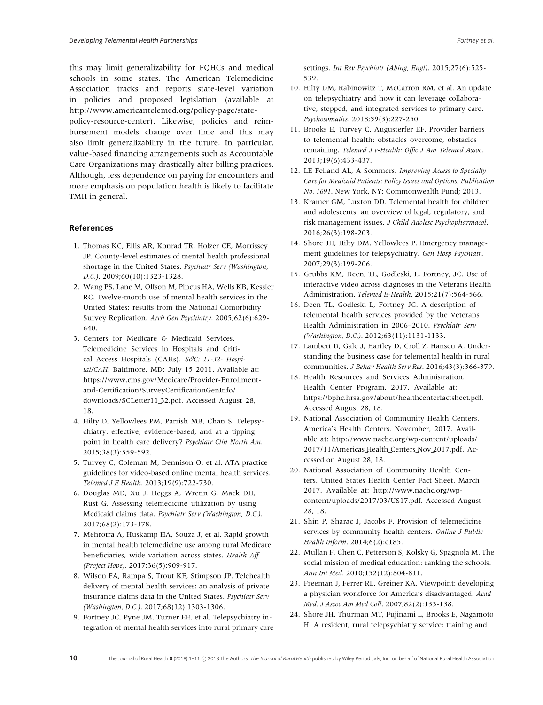this may limit generalizability for FQHCs and medical schools in some states. The American Telemedicine Association tracks and reports state-level variation in policies and proposed legislation (available at http://www.americantelemed.org/policy-page/statepolicy-resource-center). Likewise, policies and reimbursement models change over time and this may also limit generalizability in the future. In particular, value-based financing arrangements such as Accountable Care Organizations may drastically alter billing practices. Although, less dependence on paying for encounters and more emphasis on population health is likely to facilitate TMH in general.

### **References**

- 1. Thomas KC, Ellis AR, Konrad TR, Holzer CE, Morrissey JP. County-level estimates of mental health professional shortage in the United States. *Psychiatr Serv (Washington, D.C.)*. 2009;60(10):1323-1328.
- 2. Wang PS, Lane M, Olfson M, Pincus HA, Wells KB, Kessler RC. Twelve-month use of mental health services in the United States: results from the National Comorbidity Survey Replication. *Arch Gen Psychiatry*. 2005;62(6):629- 640.
- 3. Centers for Medicare & Medicaid Services. Telemedicine Services in Hospitals and Critical Access Hospitals (CAHs). S&C: 11-32- Hospi*tal/CAH*. Baltimore, MD; July 15 2011. Available at: https://www.cms.gov/Medicare/Provider-Enrollmentand-Certification/SurveyCertificationGenInfo/ downloads/SCLetter11\_32.pdf. Accessed August 28, 18.
- 4. Hilty D, Yellowlees PM, Parrish MB, Chan S. Telepsychiatry: effective, evidence-based, and at a tipping point in health care delivery? *Psychiatr Clin North Am*. 2015;38(3):559-592.
- 5. Turvey C, Coleman M, Dennison O, et al. ATA practice guidelines for video-based online mental health services. *Telemed J E Health*. 2013;19(9):722-730.
- 6. Douglas MD, Xu J, Heggs A, Wrenn G, Mack DH, Rust G. Assessing telemedicine utilization by using Medicaid claims data. *Psychiatr Serv (Washington, D.C.)*. 2017;68(2):173-178.
- 7. Mehrotra A, Huskamp HA, Souza J, et al. Rapid growth in mental health telemedicine use among rural Medicare beneficiaries, wide variation across states. *Health Aff (Project Hope)*. 2017;36(5):909-917.
- 8. Wilson FA, Rampa S, Trout KE, Stimpson JP. Telehealth delivery of mental health services: an analysis of private insurance claims data in the United States. *Psychiatr Serv (Washington, D.C.)*. 2017;68(12):1303-1306.
- 9. Fortney JC, Pyne JM, Turner EE, et al. Telepsychiatry integration of mental health services into rural primary care

settings. *Int Rev Psychiatr (Abing, Engl)*. 2015;27(6):525- 539.

- 10. Hilty DM, Rabinowitz T, McCarron RM, et al. An update on telepsychiatry and how it can leverage collaborative, stepped, and integrated services to primary care. *Psychosomatics*. 2018;59(3):227-250.
- 11. Brooks E, Turvey C, Augusterfer EF. Provider barriers to telemental health: obstacles overcome, obstacles remaining. *Telemed J e-Health: Offic J Am Telemed Assoc*. 2013;19(6):433-437.
- 12. LE Felland AL, A Sommers. *Improving Access to Specialty Care for Medicaid Patients: Policy Issues and Options, Publication No. 1691*. New York, NY: Commonwealth Fund; 2013.
- 13. Kramer GM, Luxton DD. Telemental health for children and adolescents: an overview of legal, regulatory, and risk management issues. *J Child Adolesc Psychopharmacol*. 2016;26(3):198-203.
- 14. Shore JH, Hilty DM, Yellowlees P. Emergency management guidelines for telepsychiatry. *Gen Hosp Psychiatr*. 2007;29(3):199-206.
- 15. Grubbs KM, Deen, TL, Godleski, L, Fortney, JC. Use of interactive video across diagnoses in the Veterans Health Administration. *Telemed E-Health*. 2015;21(7):564-566.
- 16. Deen TL, Godleski L, Fortney JC. A description of telemental health services provided by the Veterans Health Administration in 2006–2010. *Psychiatr Serv (Washington, D.C.)*. 2012;63(11):1131-1133.
- 17. Lambert D, Gale J, Hartley D, Croll Z, Hansen A. Understanding the business case for telemental health in rural communities. *J Behav Health Serv Res*. 2016;43(3):366-379.
- 18. Health Resources and Services Administration. Health Center Program. 2017. Available at: https://bphc.hrsa.gov/about/healthcenterfactsheet.pdf. Accessed August 28, 18.
- 19. National Association of Community Health Centers. America's Health Centers. November, 2017. Available at: http://www.nachc.org/wp-content/uploads/ 2017/11/Americas\_Health\_Centers\_Nov\_2017.pdf. Accessed on August 28, 18.
- 20. National Association of Community Health Centers. United States Health Center Fact Sheet. March 2017. Available at: http://www.nachc.org/wpcontent/uploads/2017/03/US17.pdf. Accessed August 28, 18.
- 21. Shin P, Sharac J, Jacobs F. Provision of telemedicine services by community health centers. *Online J Public Health Inform*. 2014;6(2):e185.
- 22. Mullan F, Chen C, Petterson S, Kolsky G, Spagnola M. The social mission of medical education: ranking the schools. *Ann Int Med*. 2010;152(12):804-811.
- 23. Freeman J, Ferrer RL, Greiner KA. Viewpoint: developing a physician workforce for America's disadvantaged. *Acad Med: J Assoc Am Med Coll*. 2007;82(2):133-138.
- 24. Shore JH, Thurman MT, Fujinami L, Brooks E, Nagamoto H. A resident, rural telepsychiatry service: training and